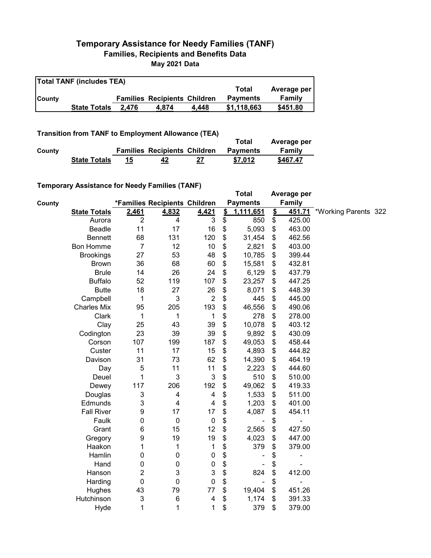## **Temporary Assistance for Needy Families (TANF) Families, Recipients and Benefits Data May 2021 Data**

| <b>Total TANF (includes TEA)</b> |                     |       |                                     |       |                 |             |  |  |  |
|----------------------------------|---------------------|-------|-------------------------------------|-------|-----------------|-------------|--|--|--|
|                                  |                     |       |                                     |       | Total           | Average per |  |  |  |
| <b>County</b>                    |                     |       | <b>Families Recipients Children</b> |       | <b>Payments</b> | Family      |  |  |  |
|                                  | <b>State Totals</b> | 2.476 | 4.874                               | 4.448 | \$1.118.663     | \$451.80    |  |  |  |

**Transition from TANF to Employment Allowance (TEA)**

|        |                     |                                     | Total           | Average per |
|--------|---------------------|-------------------------------------|-----------------|-------------|
| County |                     | <b>Families Recipients Children</b> | <b>Payments</b> | Family      |
|        | <b>State Totals</b> | 42                                  | \$7.012         | \$467.47    |

## **Temporary Assistance for Needy Families (TANF)**

| $\frac{1}{2}$ . Notice that $\frac{1}{2}$ is a set of $\frac{1}{2}$ in the set of $\frac{1}{2}$ |                |                               |                           |               | <b>Total</b>    |               | Average per |                      |  |
|-------------------------------------------------------------------------------------------------|----------------|-------------------------------|---------------------------|---------------|-----------------|---------------|-------------|----------------------|--|
|                                                                                                 |                | *Families Recipients Children |                           |               | <b>Payments</b> |               | Family      |                      |  |
| <b>State Totals</b>                                                                             | 2,461          | 4,832                         | 4,421                     | $\frac{2}{3}$ | 1,111,651       | $\frac{2}{3}$ | 451.71      | *Working Parents 322 |  |
| Aurora                                                                                          | $\overline{2}$ | 4                             | 3                         | \$            | 850             | \$            | 425.00      |                      |  |
| Beadle                                                                                          | 11             | 17                            | 16                        | \$            | 5,093           | \$            | 463.00      |                      |  |
| <b>Bennett</b>                                                                                  | 68             | 131                           | 120                       | \$            | 31,454          | \$            | 462.56      |                      |  |
| <b>Bon Homme</b>                                                                                | $\overline{7}$ | 12                            | 10                        | \$            | 2,821           | \$            | 403.00      |                      |  |
| <b>Brookings</b>                                                                                | 27             | 53                            | 48                        | \$            | 10,785          | \$            | 399.44      |                      |  |
| <b>Brown</b>                                                                                    | 36             | 68                            | 60                        | \$            | 15,581          | \$            | 432.81      |                      |  |
| <b>Brule</b>                                                                                    | 14             | 26                            | 24                        | \$            | 6,129           | \$            | 437.79      |                      |  |
| <b>Buffalo</b>                                                                                  | 52             | 119                           | 107                       | \$            | 23,257          | \$            | 447.25      |                      |  |
| <b>Butte</b>                                                                                    | 18             | 27                            | 26                        | \$            | 8,071           | \$            | 448.39      |                      |  |
| Campbell                                                                                        | 1              | 3                             | $\overline{2}$            | \$            | 445             | \$            | 445.00      |                      |  |
| <b>Charles Mix</b>                                                                              | 95             | 205                           | 193                       | \$            | 46,556          | \$            | 490.06      |                      |  |
| Clark                                                                                           | 1              | 1                             | $\mathbf 1$               | \$            | 278             | \$            | 278.00      |                      |  |
| Clay                                                                                            | 25             | 43                            | 39                        | \$            | 10,078          | \$            | 403.12      |                      |  |
| Codington                                                                                       | 23             | 39                            | 39                        | \$            | 9,892           | \$            | 430.09      |                      |  |
| Corson                                                                                          | 107            | 199                           | 187                       | \$            | 49,053          | \$            | 458.44      |                      |  |
| Custer                                                                                          | 11             | 17                            | 15                        | \$            | 4,893           | \$            | 444.82      |                      |  |
| Davison                                                                                         | 31             | 73                            | 62                        | \$            | 14,390          | \$            | 464.19      |                      |  |
| Day                                                                                             | $\mathbf 5$    | 11                            | 11                        | \$            | 2,223           | \$            | 444.60      |                      |  |
| Deuel                                                                                           | 1              | 3                             | $\mathbf{3}$              | \$            | 510             | \$            | 510.00      |                      |  |
| Dewey                                                                                           | 117            | 206                           | 192                       | \$            | 49,062          | \$            | 419.33      |                      |  |
| Douglas                                                                                         | 3              | 4                             | 4                         | \$            | 1,533           | \$            | 511.00      |                      |  |
| Edmunds                                                                                         | 3              | 4                             | $\overline{\mathbf{4}}$   | \$            | 1,203           | \$            | 401.00      |                      |  |
| <b>Fall River</b>                                                                               | 9              | 17                            | 17                        | \$            | 4,087           | \$            | 454.11      |                      |  |
| Faulk                                                                                           | 0              | $\pmb{0}$                     | $\pmb{0}$                 | \$            |                 | \$            |             |                      |  |
| Grant                                                                                           | 6              | 15                            | 12                        | \$            | 2,565           | \$            | 427.50      |                      |  |
| Gregory                                                                                         | 9              | 19                            | 19                        | \$            | 4,023           | \$            | 447.00      |                      |  |
| Haakon                                                                                          | 1              | 1                             | 1                         | \$            | 379             | \$            | 379.00      |                      |  |
| Hamlin                                                                                          | 0              | 0                             | $\pmb{0}$                 | \$            |                 | \$            | ۰           |                      |  |
| Hand                                                                                            | 0              | 0                             | $\pmb{0}$                 | \$            |                 | \$            |             |                      |  |
| Hanson                                                                                          | 2              | 3                             | $\ensuremath{\mathsf{3}}$ | \$            | 824             | \$            | 412.00      |                      |  |
| Harding                                                                                         | 0              | 0                             | $\mathbf 0$               | \$            |                 | \$            |             |                      |  |
| Hughes                                                                                          | 43             | 79                            | 77                        | \$            | 19,404          | \$            | 451.26      |                      |  |
| Hutchinson                                                                                      | 3              | 6                             | 4                         | \$            | 1,174           | \$            | 391.33      |                      |  |
| Hyde                                                                                            | 1              | 1                             | 1                         | \$            | 379             | \$            | 379.00      |                      |  |
|                                                                                                 |                |                               |                           |               |                 |               |             |                      |  |